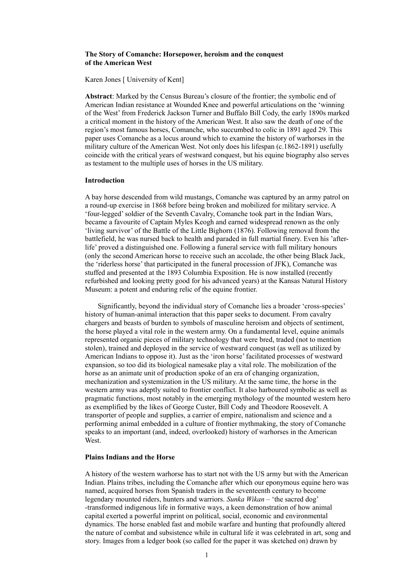### **The Story of Comanche: Horsepower, heroism and the conquest of the American West**

Karen Jones [ University of Kent]

**Abstract**: Marked by the Census Bureau's closure of the frontier; the symbolic end of American Indian resistance at Wounded Knee and powerful articulations on the 'winning of the West' from Frederick Jackson Turner and Buffalo Bill Cody, the early 1890s marked a critical moment in the history of the American West. It also saw the death of one of the region's most famous horses, Comanche, who succumbed to colic in 1891 aged 29. This paper uses Comanche as a locus around which to examine the history of warhorses in the military culture of the American West. Not only does his lifespan (c.1862-1891) usefully coincide with the critical years of westward conquest, but his equine biography also serves as testament to the multiple uses of horses in the US military.

#### **Introduction**

A bay horse descended from wild mustangs, Comanche was captured by an army patrol on a round-up exercise in 1868 before being broken and mobilized for military service. A 'four-legged' soldier of the Seventh Cavalry, Comanche took part in the Indian Wars, became a favourite of Captain Myles Keogh and earned widespread renown as the only 'living survivor' of the Battle of the Little Bighorn (1876). Following removal from the battlefield, he was nursed back to health and paraded in full martial finery. Even his 'afterlife' proved a distinguished one. Following a funeral service with full military honours (only the second American horse to receive such an accolade, the other being Black Jack, the 'riderless horse' that participated in the funeral procession of JFK), Comanche was stuffed and presented at the 1893 Columbia Exposition. He is now installed (recently refurbished and looking pretty good for his advanced years) at the Kansas Natural History Museum: a potent and enduring relic of the equine frontier.

 Significantly, beyond the individual story of Comanche lies a broader 'cross-species' history of human-animal interaction that this paper seeks to document. From cavalry chargers and beasts of burden to symbols of masculine heroism and objects of sentiment, the horse played a vital role in the western army. On a fundamental level, equine animals represented organic pieces of military technology that were bred, traded (not to mention stolen), trained and deployed in the service of westward conquest (as well as utilized by American Indians to oppose it). Just as the 'iron horse' facilitated processes of westward expansion, so too did its biological namesake play a vital role. The mobilization of the horse as an animate unit of production spoke of an era of changing organization, mechanization and systemization in the US military. At the same time, the horse in the western army was adeptly suited to frontier conflict. It also harboured symbolic as well as pragmatic functions, most notably in the emerging mythology of the mounted western hero as exemplified by the likes of George Custer, Bill Cody and Theodore Roosevelt. A transporter of people and supplies, a carrier of empire, nationalism and science and a performing animal embedded in a culture of frontier mythmaking, the story of Comanche speaks to an important (and, indeed, overlooked) history of warhorses in the American West.

#### **Plains Indians and the Horse**

A history of the western warhorse has to start not with the US army but with the American Indian. Plains tribes, including the Comanche after which our eponymous equine hero was named, acquired horses from Spanish traders in the seventeenth century to become legendary mounted riders, hunters and warriors. *Sunka Wikan –* 'the sacred dog' -transformed indigenous life in formative ways, a keen demonstration of how animal capital exerted a powerful imprint on political, social, economic and environmental dynamics. The horse enabled fast and mobile warfare and hunting that profoundly altered the nature of combat and subsistence while in cultural life it was celebrated in art, song and story. Images from a ledger book (so called for the paper it was sketched on) drawn by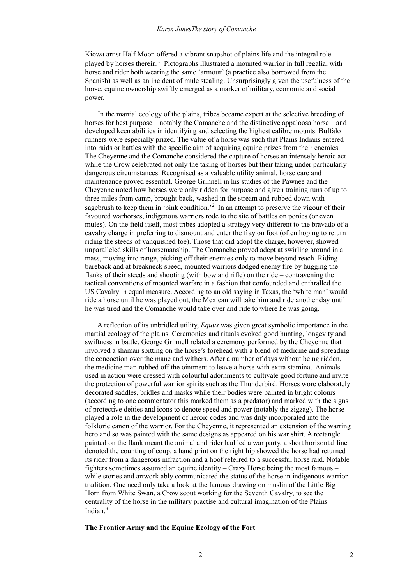Kiowa artist Half Moon offered a vibrant snapshot of plains life and the integral role played by horses therein.<sup>1</sup> Pictographs illustrated a mounted warrior in full regalia, with horse and rider both wearing the same 'armour' (a practice also borrowed from the Spanish) as well as an incident of mule stealing. Unsurprisingly given the usefulness of the horse, equine ownership swiftly emerged as a marker of military, economic and social power.

 In the martial ecology of the plains, tribes became expert at the selective breeding of horses for best purpose – notably the Comanche and the distinctive appaloosa horse – and developed keen abilities in identifying and selecting the highest calibre mounts. Buffalo runners were especially prized. The value of a horse was such that Plains Indians entered into raids or battles with the specific aim of acquiring equine prizes from their enemies. The Cheyenne and the Comanche considered the capture of horses an intensely heroic act while the Crow celebrated not only the taking of horses but their taking under particularly dangerous circumstances. Recognised as a valuable utility animal, horse care and maintenance proved essential. George Grinnell in his studies of the Pawnee and the Cheyenne noted how horses were only ridden for purpose and given training runs of up to three miles from camp, brought back, washed in the stream and rubbed down with sagebrush to keep them in 'pink condition.<sup>2</sup> In an attempt to preserve the vigour of their favoured warhorses, indigenous warriors rode to the site of battles on ponies (or even mules). On the field itself, most tribes adopted a strategy very different to the bravado of a cavalry charge in preferring to dismount and enter the fray on foot (often hoping to return riding the steeds of vanquished foe). Those that did adopt the charge, however, showed unparalleled skills of horsemanship. The Comanche proved adept at swirling around in a mass, moving into range, picking off their enemies only to move beyond reach. Riding bareback and at breakneck speed, mounted warriors dodged enemy fire by hugging the flanks of their steeds and shooting (with bow and rifle) on the ride – contravening the tactical conventions of mounted warfare in a fashion that confounded and enthralled the US Cavalry in equal measure. According to an old saying in Texas, the 'white man' would ride a horse until he was played out, the Mexican will take him and ride another day until he was tired and the Comanche would take over and ride to where he was going.

 A reflection of its unbridled utility, *Equus* was given great symbolic importance in the martial ecology of the plains. Ceremonies and rituals evoked good hunting, longevity and swiftness in battle. George Grinnell related a ceremony performed by the Cheyenne that involved a shaman spitting on the horse's forehead with a blend of medicine and spreading the concoction over the mane and withers. After a number of days without being ridden, the medicine man rubbed off the ointment to leave a horse with extra stamina. Animals used in action were dressed with colourful adornments to cultivate good fortune and invite the protection of powerful warrior spirits such as the Thunderbird. Horses wore elaborately decorated saddles, bridles and masks while their bodies were painted in bright colours (according to one commentator this marked them as a predator) and marked with the signs of protective deities and icons to denote speed and power (notably the zigzag). The horse played a role in the development of heroic codes and was duly incorporated into the folkloric canon of the warrior. For the Cheyenne, it represented an extension of the warring hero and so was painted with the same designs as appeared on his war shirt. A rectangle painted on the flank meant the animal and rider had led a war party, a short horizontal line denoted the counting of coup, a hand print on the right hip showed the horse had returned its rider from a dangerous infraction and a hoof referred to a successful horse raid. Notable fighters sometimes assumed an equine identity – Crazy Horse being the most famous – while stories and artwork ably communicated the status of the horse in indigenous warrior tradition. One need only take a look at the famous drawing on muslin of the Little Big Horn from White Swan, a Crow scout working for the Seventh Cavalry, to see the centrality of the horse in the military practise and cultural imagination of the Plains Indian $3$ 

## **The Frontier Army and the Equine Ecology of the Fort**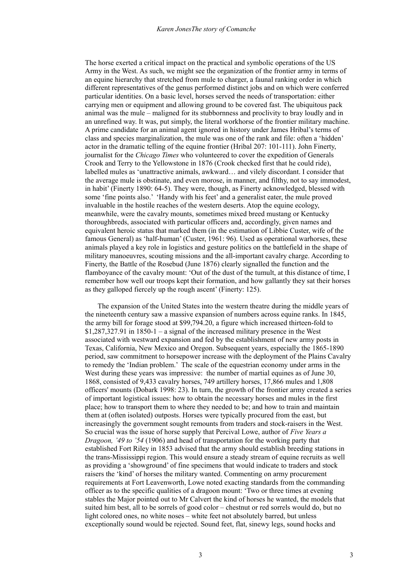The horse exerted a critical impact on the practical and symbolic operations of the US Army in the West. As such, we might see the organization of the frontier army in terms of an equine hierarchy that stretched from mule to charger, a faunal ranking order in which different representatives of the genus performed distinct jobs and on which were conferred particular identities. On a basic level, horses served the needs of transportation: either carrying men or equipment and allowing ground to be covered fast. The ubiquitous pack animal was the mule – maligned for its stubbornness and proclivity to bray loudly and in an unrefined way. It was, put simply, the literal workhorse of the frontier military machine. A prime candidate for an animal agent ignored in history under James Hribal's terms of class and species marginalization, the mule was one of the rank and file: often a 'hidden' actor in the dramatic telling of the equine frontier (Hribal 207: 101-111). John Finerty, journalist for the *Chicago Times* who volunteered to cover the expedition of Generals Crook and Terry to the Yellowstone in 1876 (Crook checked first that he could ride), labelled mules as 'unattractive animals, awkward… and vilely discordant. I consider that the average mule is obstinate, and even morose, in manner, and filthy, not to say immodest, in habit' (Finerty 1890: 64-5). They were, though, as Finerty acknowledged, blessed with some 'fine points also.' 'Handy with his feet' and a generalist eater, the mule proved invaluable in the hostile reaches of the western deserts. Atop the equine ecology, meanwhile, were the cavalry mounts, sometimes mixed breed mustang or Kentucky thoroughbreds, associated with particular officers and, accordingly, given names and equivalent heroic status that marked them (in the estimation of Libbie Custer, wife of the famous General) as 'half-human' (Custer, 1961: 96). Used as operational warhorses, these animals played a key role in logistics and gesture politics on the battlefield in the shape of military manoeuvres, scouting missions and the all-important cavalry charge. According to Finerty, the Battle of the Rosebud (June 1876) clearly signalled the function and the flamboyance of the cavalry mount: 'Out of the dust of the tumult, at this distance of time, I remember how well our troops kept their formation, and how gallantly they sat their horses as they galloped fiercely up the rough ascent' (Finerty: 125).

 The expansion of the United States into the western theatre during the middle years of the nineteenth century saw a massive expansion of numbers across equine ranks. In 1845, the army bill for forage stood at \$99,794.20, a figure which increased thirteen-fold to  $$1,287,327.91$  in  $1850-1 - a$  signal of the increased military presence in the West associated with westward expansion and fed by the establishment of new army posts in Texas, California, New Mexico and Oregon. Subsequent years, especially the 1865-1890 period, saw commitment to horsepower increase with the deployment of the Plains Cavalry to remedy the 'Indian problem.' The scale of the equestrian economy under arms in the West during these years was impressive: the number of martial equines as of June 30, 1868, consisted of 9,433 cavalry horses, 749 artillery horses, 17,866 mules and 1,808 officers' mounts (Dobark 1998: 23). In turn, the growth of the frontier army created a series of important logistical issues: how to obtain the necessary horses and mules in the first place; how to transport them to where they needed to be; and how to train and maintain them at (often isolated) outposts. Horses were typically procured from the east, but increasingly the government sought remounts from traders and stock-raisers in the West. So crucial was the issue of horse supply that Percival Lowe, author of *Five Years a Dragoon, '49 to '54* (1906) and head of transportation for the working party that established Fort Riley in 1853 advised that the army should establish breeding stations in the trans-Mississippi region. This would ensure a steady stream of equine recruits as well as providing a 'showground' of fine specimens that would indicate to traders and stock raisers the 'kind' of horses the military wanted. Commenting on army procurement requirements at Fort Leavenworth, Lowe noted exacting standards from the commanding officer as to the specific qualities of a dragoon mount: 'Two or three times at evening stables the Major pointed out to Mr Calvert the kind of horses he wanted, the models that suited him best, all to be sorrels of good color – chestnut or red sorrels would do, but no light colored ones, no white noses – white feet not absolutely barred, but unless exceptionally sound would be rejected. Sound feet, flat, sinewy legs, sound hocks and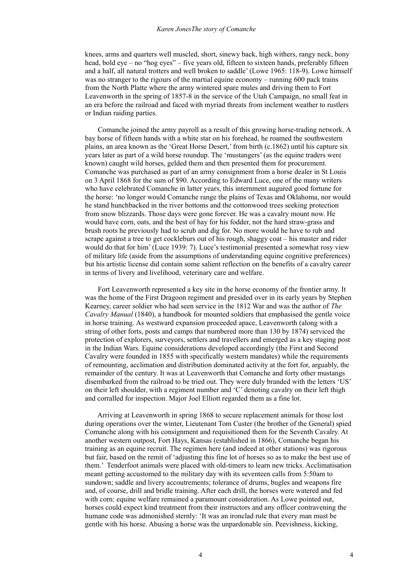#### *Karen JonesThe story of Comanche*

knees, arms and quarters well muscled, short, sinewy back, high withers, rangy neck, bony head, bold eye – no "hog eyes" – five years old, fifteen to sixteen hands, preferably fifteen and a half, all natural trotters and well broken to saddle' (Lowe 1965: 118-9). Lowe himself was no stranger to the rigours of the martial equine economy – running 600 pack trains from the North Platte where the army wintered spare mules and driving them to Fort Leavenworth in the spring of 1857-8 in the service of the Utah Campaign, no small feat in an era before the railroad and faced with myriad threats from inclement weather to rustlers or Indian raiding parties.

 Comanche joined the army payroll as a result of this growing horse-trading network. A bay horse of fifteen hands with a white star on his forehead, he roamed the southwestern plains, an area known as the 'Great Horse Desert,' from birth (c.1862) until his capture six years later as part of a wild horse roundup. The 'mustangers' (as the equine traders were known) caught wild horses, gelded them and then presented them for procurement. Comanche was purchased as part of an army consignment from a horse dealer in St Louis on 3 April 1868 for the sum of \$90. According to Edward Luce, one of the many writers who have celebrated Comanche in latter years, this internment augured good fortune for the horse: 'no longer would Comanche range the plains of Texas and Oklahoma, nor would he stand hunchbacked in the river bottoms and the cottonwood trees seeking protection from snow blizzards. Those days were gone forever. He was a cavalry mount now. He would have corn, oats, and the best of hay for his fodder, not the hard straw-grass and brush roots he previously had to scrub and dig for. No more would he have to rub and scrape against a tree to get cockleburs out of his rough, shaggy coat – his master and rider would do that for him' (Luce 1939: 7). Luce's testimonial presented a somewhat rosy view of military life (aside from the assumptions of understanding equine cognitive preferences) but his artistic license did contain some salient reflection on the benefits of a cavalry career in terms of livery and livelihood, veterinary care and welfare.

 Fort Leavenworth represented a key site in the horse economy of the frontier army. It was the home of the First Dragoon regiment and presided over in its early years by Stephen Kearney, career soldier who had seen service in the 1812 War and was the author of *The Cavalry Manual* (1840), a handbook for mounted soldiers that emphasised the gentle voice in horse training. As westward expansion proceeded apace, Leavenworth (along with a string of other forts, posts and camps that numbered more than 130 by 1874) serviced the protection of explorers, surveyors, settlers and travellers and emerged as a key staging post in the Indian Wars. Equine considerations developed accordingly (the First and Second Cavalry were founded in 1855 with specifically western mandates) while the requirements of remounting, acclimation and distribution dominated activity at the fort for, arguably, the remainder of the century. It was at Leavenworth that Comanche and forty other mustangs disembarked from the railroad to be tried out. They were duly branded with the letters 'US' on their left shoulder, with a regiment number and 'C' denoting cavalry on their left thigh and corralled for inspection. Major Joel Elliott regarded them as a fine lot.

 Arriving at Leavenworth in spring 1868 to secure replacement animals for those lost during operations over the winter, Lieutenant Tom Custer (the brother of the General) spied Comanche along with his consignment and requisitioned them for the Seventh Cavalry. At another western outpost, Fort Hays, Kansas (established in 1866), Comanche began his training as an equine recruit. The regimen here (and indeed at other stations) was rigorous but fair, based on the remit of 'adjusting this fine lot of horses so as to make the best use of them.' Tenderfoot animals were placed with old-timers to learn new tricks. Acclimatisation meant getting accustomed to the military day with its seventeen calls from 5:50am to sundown; saddle and livery accoutrements; tolerance of drums, bugles and weapons fire and, of course, drill and bridle training. After each drill, the horses were watered and fed with corn: equine welfare remained a paramount consideration. As Lowe pointed out, horses could expect kind treatment from their instructors and any officer contravening the humane code was admonished sternly: 'It was an ironclad rule that every man must be gentle with his horse. Abusing a horse was the unpardonable sin. Peevishness, kicking,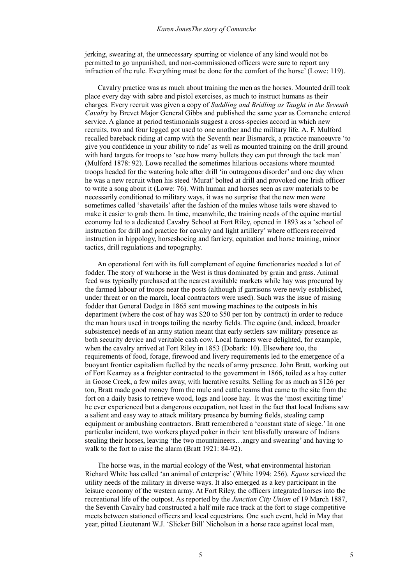jerking, swearing at, the unnecessary spurring or violence of any kind would not be permitted to go unpunished, and non-commissioned officers were sure to report any infraction of the rule. Everything must be done for the comfort of the horse' (Lowe: 119).

 Cavalry practice was as much about training the men as the horses. Mounted drill took place every day with sabre and pistol exercises, as much to instruct humans as their charges. Every recruit was given a copy of *Saddling and Bridling as Taught in the Seventh Cavalry* by Brevet Major General Gibbs and published the same year as Comanche entered service. A glance at period testimonials suggest a cross-species accord in which new recruits, two and four legged got used to one another and the military life. A. F. Mulford recalled bareback riding at camp with the Seventh near Bismarck, a practice manoeuvre 'to give you confidence in your ability to ride' as well as mounted training on the drill ground with hard targets for troops to 'see how many bullets they can put through the tack man' (Mulford 1878: 92). Lowe recalled the sometimes hilarious occasions where mounted troops headed for the watering hole after drill 'in outrageous disorder' and one day when he was a new recruit when his steed 'Murat' bolted at drill and provoked one Irish officer to write a song about it (Lowe: 76). With human and horses seen as raw materials to be necessarily conditioned to military ways, it was no surprise that the new men were sometimes called 'shavetails' after the fashion of the mules whose tails were shaved to make it easier to grab them. In time, meanwhile, the training needs of the equine martial economy led to a dedicated Cavalry School at Fort Riley, opened in 1893 as a 'school of instruction for drill and practice for cavalry and light artillery' where officers received instruction in hippology, horseshoeing and farriery, equitation and horse training, minor tactics, drill regulations and topography.

 An operational fort with its full complement of equine functionaries needed a lot of fodder. The story of warhorse in the West is thus dominated by grain and grass. Animal feed was typically purchased at the nearest available markets while hay was procured by the farmed labour of troops near the posts (although if garrisons were newly established, under threat or on the march, local contractors were used). Such was the issue of raising fodder that General Dodge in 1865 sent mowing machines to the outposts in his department (where the cost of hay was \$20 to \$50 per ton by contract) in order to reduce the man hours used in troops toiling the nearby fields. The equine (and, indeed, broader subsistence) needs of an army station meant that early settlers saw military presence as both security device and veritable cash cow. Local farmers were delighted, for example, when the cavalry arrived at Fort Riley in 1853 (Dobark: 10). Elsewhere too, the requirements of food, forage, firewood and livery requirements led to the emergence of a buoyant frontier capitalism fuelled by the needs of army presence. John Bratt, working out of Fort Kearney as a freighter contracted to the government in 1866, toiled as a hay cutter in Goose Creek, a few miles away, with lucrative results. Selling for as much as \$126 per ton, Bratt made good money from the mule and cattle teams that came to the site from the fort on a daily basis to retrieve wood, logs and loose hay. It was the 'most exciting time' he ever experienced but a dangerous occupation, not least in the fact that local Indians saw a salient and easy way to attack military presence by burning fields, stealing camp equipment or ambushing contractors. Bratt remembered a 'constant state of siege.' In one particular incident, two workers played poker in their tent blissfully unaware of Indians stealing their horses, leaving 'the two mountaineers…angry and swearing' and having to walk to the fort to raise the alarm (Bratt 1921: 84-92).

 The horse was, in the martial ecology of the West, what environmental historian Richard White has called 'an animal of enterprise' (White 1994: 256). *Equus* serviced the utility needs of the military in diverse ways. It also emerged as a key participant in the leisure economy of the western army. At Fort Riley, the officers integrated horses into the recreational life of the outpost. As reported by the *Junction City Union* of 19 March 1887, the Seventh Cavalry had constructed a half mile race track at the fort to stage competitive meets between stationed officers and local equestrians. One such event, held in May that year, pitted Lieutenant W.J. 'Slicker Bill' Nicholson in a horse race against local man,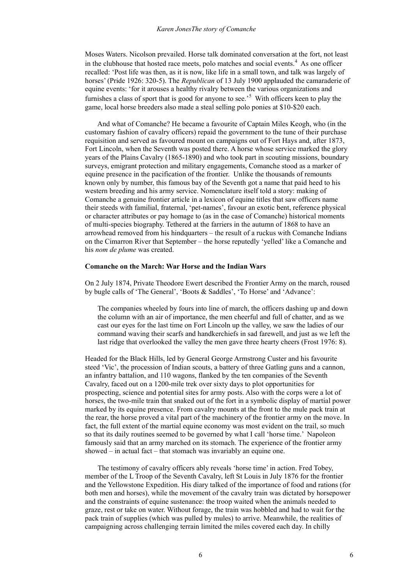Moses Waters. Nicolson prevailed. Horse talk dominated conversation at the fort, not least in the clubhouse that hosted race meets, polo matches and social events. $4$  As one officer recalled: 'Post life was then, as it is now, like life in a small town, and talk was largely of horses' (Pride 1926: 320-5). The *Republican* of 13 July 1900 applauded the camaraderie of equine events: 'for it arouses a healthy rivalry between the various organizations and furnishes a class of sport that is good for anyone to see.<sup>5</sup> With officers keen to play the game, local horse breeders also made a steal selling polo ponies at \$10-\$20 each.

 And what of Comanche? He became a favourite of Captain Miles Keogh, who (in the customary fashion of cavalry officers) repaid the government to the tune of their purchase requisition and served as favoured mount on campaigns out of Fort Hays and, after 1873, Fort Lincoln, when the Seventh was posted there. A horse whose service marked the glory years of the Plains Cavalry (1865-1890) and who took part in scouting missions, boundary surveys, emigrant protection and military engagements, Comanche stood as a marker of equine presence in the pacification of the frontier. Unlike the thousands of remounts known only by number, this famous bay of the Seventh got a name that paid heed to his western breeding and his army service. Nomenclature itself told a story: making of Comanche a genuine frontier article in a lexicon of equine titles that saw officers name their steeds with familial, fraternal, 'pet-names', favour an exotic bent, reference physical or character attributes or pay homage to (as in the case of Comanche) historical moments of multi-species biography. Tethered at the farriers in the autumn of 1868 to have an arrowhead removed from his hindquarters – the result of a ruckus with Comanche Indians on the Cimarron River that September – the horse reputedly 'yelled' like a Comanche and his *nom de plume* was created.

### **Comanche on the March: War Horse and the Indian Wars**

On 2 July 1874, Private Theodore Ewert described the Frontier Army on the march, roused by bugle calls of 'The General', 'Boots & Saddles', 'To Horse' and 'Advance':

The companies wheeled by fours into line of march, the officers dashing up and down the column with an air of importance, the men cheerful and full of chatter, and as we cast our eyes for the last time on Fort Lincoln up the valley, we saw the ladies of our command waving their scarfs and handkerchiefs in sad farewell, and just as we left the last ridge that overlooked the valley the men gave three hearty cheers (Frost 1976: 8).

Headed for the Black Hills, led by General George Armstrong Custer and his favourite steed 'Vic', the procession of Indian scouts, a battery of three Gatling guns and a cannon, an infantry battalion, and 110 wagons, flanked by the ten companies of the Seventh Cavalry, faced out on a 1200-mile trek over sixty days to plot opportunities for prospecting, science and potential sites for army posts. Also with the corps were a lot of horses, the two-mile train that snaked out of the fort in a symbolic display of martial power marked by its equine presence. From cavalry mounts at the front to the mule pack train at the rear, the horse proved a vital part of the machinery of the frontier army on the move. In fact, the full extent of the martial equine economy was most evident on the trail, so much so that its daily routines seemed to be governed by what I call 'horse time.' Napoleon famously said that an army marched on its stomach. The experience of the frontier army showed – in actual fact – that stomach was invariably an equine one.

 The testimony of cavalry officers ably reveals 'horse time' in action. Fred Tobey, member of the L Troop of the Seventh Cavalry, left St Louis in July 1876 for the frontier and the Yellowstone Expedition. His diary talked of the importance of food and rations (for both men and horses), while the movement of the cavalry train was dictated by horsepower and the constraints of equine sustenance: the troop waited when the animals needed to graze, rest or take on water. Without forage, the train was hobbled and had to wait for the pack train of supplies (which was pulled by mules) to arrive. Meanwhile, the realities of campaigning across challenging terrain limited the miles covered each day. In chilly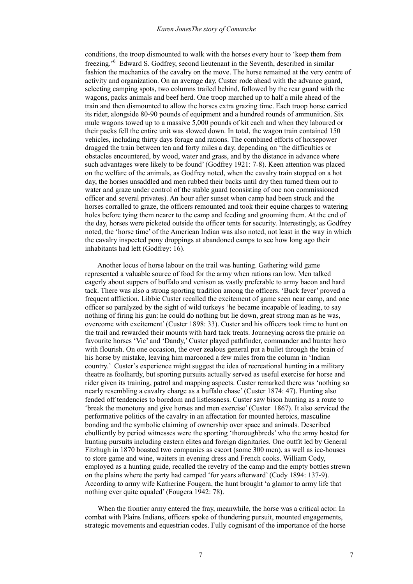conditions, the troop dismounted to walk with the horses every hour to 'keep them from freezing.'<sup>6</sup> Edward S. Godfrey, second lieutenant in the Seventh, described in similar fashion the mechanics of the cavalry on the move. The horse remained at the very centre of activity and organization. On an average day, Custer rode ahead with the advance guard, selecting camping spots, two columns trailed behind, followed by the rear guard with the wagons, packs animals and beef herd. One troop marched up to half a mile ahead of the train and then dismounted to allow the horses extra grazing time. Each troop horse carried its rider, alongside 80-90 pounds of equipment and a hundred rounds of ammunition. Six mule wagons towed up to a massive 5,000 pounds of kit each and when they laboured or their packs fell the entire unit was slowed down. In total, the wagon train contained 150 vehicles, including thirty days forage and rations. The combined efforts of horsepower dragged the train between ten and forty miles a day, depending on 'the difficulties or obstacles encountered, by wood, water and grass, and by the distance in advance where such advantages were likely to be found' (Godfrey 1921: 7-8). Keen attention was placed on the welfare of the animals, as Godfrey noted, when the cavalry train stopped on a hot day, the horses unsaddled and men rubbed their backs until dry then turned them out to water and graze under control of the stable guard (consisting of one non commissioned officer and several privates). An hour after sunset when camp had been struck and the horses corralled to graze, the officers remounted and took their equine charges to watering holes before tying them nearer to the camp and feeding and grooming them. At the end of the day, horses were picketed outside the officer tents for security. Interestingly, as Godfrey noted, the 'horse time' of the American Indian was also noted, not least in the way in which the cavalry inspected pony droppings at abandoned camps to see how long ago their inhabitants had left (Godfrey: 16).

 Another locus of horse labour on the trail was hunting. Gathering wild game represented a valuable source of food for the army when rations ran low. Men talked eagerly about suppers of buffalo and venison as vastly preferable to army bacon and hard tack. There was also a strong sporting tradition among the officers. 'Buck fever' proved a frequent affliction. Libbie Custer recalled the excitement of game seen near camp, and one officer so paralyzed by the sight of wild turkeys 'he became incapable of leading, to say nothing of firing his gun: he could do nothing but lie down, great strong man as he was, overcome with excitement' (Custer 1898: 33). Custer and his officers took time to hunt on the trail and rewarded their mounts with hard tack treats. Journeying across the prairie on favourite horses 'Vic' and 'Dandy,' Custer played pathfinder, commander and hunter hero with flourish. On one occasion, the over zealous general put a bullet through the brain of his horse by mistake, leaving him marooned a few miles from the column in 'Indian country.' Custer's experience might suggest the idea of recreational hunting in a military theatre as foolhardy, but sporting pursuits actually served as useful exercise for horse and rider given its training, patrol and mapping aspects. Custer remarked there was 'nothing so nearly resembling a cavalry charge as a buffalo chase' (Custer 1874: 47). Hunting also fended off tendencies to boredom and listlessness. Custer saw bison hunting as a route to 'break the monotony and give horses and men exercise' (Custer 1867). It also serviced the performative politics of the cavalry in an affectation for mounted heroics, masculine bonding and the symbolic claiming of ownership over space and animals. Described ebulliently by period witnesses were the sporting 'thoroughbreds' who the army hosted for hunting pursuits including eastern elites and foreign dignitaries. One outfit led by General Fitzhugh in 1870 boasted two companies as escort (some 300 men), as well as ice-houses to store game and wine, waiters in evening dress and French cooks. William Cody, employed as a hunting guide, recalled the revelry of the camp and the empty bottles strewn on the plains where the party had camped 'for years afterward' (Cody 1894: 137-9). According to army wife Katherine Fougera, the hunt brought 'a glamor to army life that nothing ever quite equaled' (Fougera 1942: 78).

 When the frontier army entered the fray, meanwhile, the horse was a critical actor. In combat with Plains Indians, officers spoke of thundering pursuit, mounted engagements, strategic movements and equestrian codes. Fully cognisant of the importance of the horse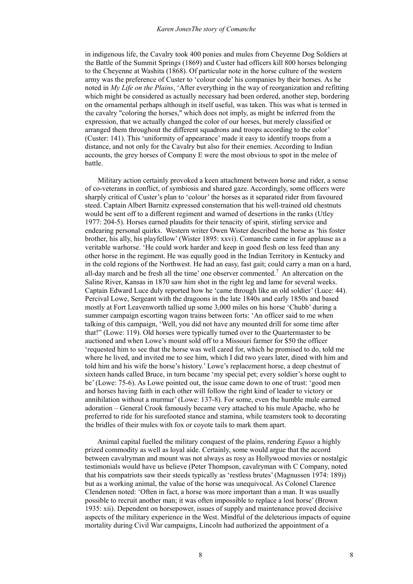in indigenous life, the Cavalry took 400 ponies and mules from Cheyenne Dog Soldiers at the Battle of the Summit Springs (1869) and Custer had officers kill 800 horses belonging to the Cheyenne at Washita (1868). Of particular note in the horse culture of the western army was the preference of Custer to 'colour code' his companies by their horses. As he noted in *My Life on the Plains*, 'After everything in the way of reorganization and refitting which might be considered as actually necessary had been ordered, another step, bordering on the ornamental perhaps although in itself useful, was taken. This was what is termed in the cavalry "coloring the horses," which does not imply, as might be inferred from the expression, that we actually changed the color of our horses, but merely classified or arranged them throughout the different squadrons and troops according to the color' (Custer: 141). This 'uniformity of appearance' made it easy to identify troops from a distance, and not only for the Cavalry but also for their enemies. According to Indian accounts, the grey horses of Company E were the most obvious to spot in the melee of battle.

 Military action certainly provoked a keen attachment between horse and rider, a sense of co-veterans in conflict, of symbiosis and shared gaze. Accordingly, some officers were sharply critical of Custer's plan to 'colour' the horses as it separated rider from favoured steed. Captain Albert Barnitz expressed consternation that his well-trained old chestnuts would be sent off to a different regiment and warned of desertions in the ranks (Utley 1977: 204-5). Horses earned plaudits for their tenacity of spirit, stirling service and endearing personal quirks. Western writer Owen Wister described the horse as 'his foster brother, his ally, his playfellow' (Wister 1895: xxvi). Comanche came in for applause as a veritable warhorse. 'He could work harder and keep in good flesh on less feed than any other horse in the regiment. He was equally good in the Indian Territory in Kentucky and in the cold regions of the Northwest. He had an easy, fast gait; could carry a man on a hard, all-day march and be fresh all the time' one observer commented.<sup>7</sup> An altercation on the Saline River, Kansas in 1870 saw him shot in the right leg and lame for several weeks. Captain Edward Luce duly reported how he 'came through like an old soldier' (Luce: 44). Percival Lowe, Sergeant with the dragoons in the late 1840s and early 1850s and based mostly at Fort Leavenworth tallied up some 3,000 miles on his horse 'Chubb' during a summer campaign escorting wagon trains between forts: 'An officer said to me when talking of this campaign, 'Well, you did not have any mounted drill for some time after that!" (Lowe: 119). Old horses were typically turned over to the Quartermaster to be auctioned and when Lowe's mount sold off to a Missouri farmer for \$50 the officer 'requested him to see that the horse was well cared for, which he promised to do, told me where he lived, and invited me to see him, which I did two years later, dined with him and told him and his wife the horse's history.' Lowe's replacement horse, a deep chestnut of sixteen hands called Bruce, in turn became 'my special pet; every soldier's horse ought to be' (Lowe: 75-6). As Lowe pointed out, the issue came down to one of trust: 'good men and horses having faith in each other will follow the right kind of leader to victory or annihilation without a murmur' (Lowe: 137-8). For some, even the humble mule earned adoration – General Crook famously became very attached to his mule Apache, who he preferred to ride for his surefooted stance and stamina, while teamsters took to decorating the bridles of their mules with fox or coyote tails to mark them apart.

 Animal capital fuelled the military conquest of the plains, rendering *Equus* a highly prized commodity as well as loyal aide. Certainly, some would argue that the accord between cavalryman and mount was not always as rosy as Hollywood movies or nostalgic testimonials would have us believe (Peter Thompson, cavalryman with C Company, noted that his compatriots saw their steeds typically as 'restless brutes' (Magnussen 1974: 189)) but as a working animal, the value of the horse was unequivocal. As Colonel Clarence Clendenen noted: 'Often in fact, a horse was more important than a man. It was usually possible to recruit another man; it was often impossible to replace a lost horse' (Brown 1935: xii). Dependent on horsepower, issues of supply and maintenance proved decisive aspects of the military experience in the West. Mindful of the deleterious impacts of equine mortality during Civil War campaigns, Lincoln had authorized the appointment of a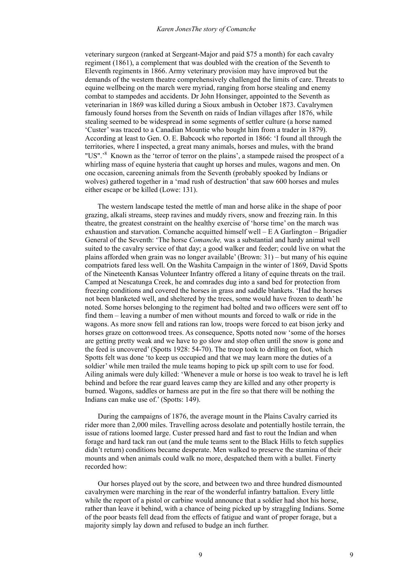veterinary surgeon (ranked at Sergeant-Major and paid \$75 a month) for each cavalry regiment (1861), a complement that was doubled with the creation of the Seventh to Eleventh regiments in 1866. Army veterinary provision may have improved but the demands of the western theatre comprehensively challenged the limits of care. Threats to equine wellbeing on the march were myriad, ranging from horse stealing and enemy combat to stampedes and accidents. Dr John Honsinger, appointed to the Seventh as veterinarian in 1869 was killed during a Sioux ambush in October 1873. Cavalrymen famously found horses from the Seventh on raids of Indian villages after 1876, while stealing seemed to be widespread in some segments of settler culture (a horse named 'Custer' was traced to a Canadian Mountie who bought him from a trader in 1879). According at least to Gen. O. E. Babcock who reported in 1866: 'I found all through the territories, where I inspected, a great many animals, horses and mules, with the brand "US".<sup>28</sup> Known as the 'terror of terror on the plains', a stampede raised the prospect of a whirling mass of equine hysteria that caught up horses and mules, wagons and men. On one occasion, careening animals from the Seventh (probably spooked by Indians or wolves) gathered together in a 'mad rush of destruction' that saw 600 horses and mules either escape or be killed (Lowe: 131).

 The western landscape tested the mettle of man and horse alike in the shape of poor grazing, alkali streams, steep ravines and muddy rivers, snow and freezing rain. In this theatre, the greatest constraint on the healthy exercise of 'horse time' on the march was exhaustion and starvation. Comanche acquitted himself well – E A Garlington – Brigadier General of the Seventh: 'The horse *Comanche,* was a substantial and hardy animal well suited to the cavalry service of that day; a good walker and feeder; could live on what the plains afforded when grain was no longer available' (Brown: 31) – but many of his equine compatriots fared less well. On the Washita Campaign in the winter of 1869, David Spotts of the Nineteenth Kansas Volunteer Infantry offered a litany of equine threats on the trail. Camped at Nescatunga Creek, he and comrades dug into a sand bed for protection from freezing conditions and covered the horses in grass and saddle blankets. 'Had the horses not been blanketed well, and sheltered by the trees, some would have frozen to death' he noted. Some horses belonging to the regiment had bolted and two officers were sent off to find them – leaving a number of men without mounts and forced to walk or ride in the wagons. As more snow fell and rations ran low, troops were forced to eat bison jerky and horses graze on cottonwood trees. As consequence, Spotts noted now 'some of the horses are getting pretty weak and we have to go slow and stop often until the snow is gone and the feed is uncovered' (Spotts 1928: 54-70). The troop took to drilling on foot, which Spotts felt was done 'to keep us occupied and that we may learn more the duties of a soldier' while men trailed the mule teams hoping to pick up spilt corn to use for food. Ailing animals were duly killed: 'Whenever a mule or horse is too weak to travel he is left behind and before the rear guard leaves camp they are killed and any other property is burned. Wagons, saddles or harness are put in the fire so that there will be nothing the Indians can make use of.' (Spotts: 149).

 During the campaigns of 1876, the average mount in the Plains Cavalry carried its rider more than 2,000 miles. Travelling across desolate and potentially hostile terrain, the issue of rations loomed large. Custer pressed hard and fast to rout the Indian and when forage and hard tack ran out (and the mule teams sent to the Black Hills to fetch supplies didn't return) conditions became desperate. Men walked to preserve the stamina of their mounts and when animals could walk no more, despatched them with a bullet. Finerty recorded how:

 Our horses played out by the score, and between two and three hundred dismounted cavalrymen were marching in the rear of the wonderful infantry battalion. Every little while the report of a pistol or carbine would announce that a soldier had shot his horse, rather than leave it behind, with a chance of being picked up by straggling Indians. Some of the poor beasts fell dead from the effects of fatigue and want of proper forage, but a majority simply lay down and refused to budge an inch further.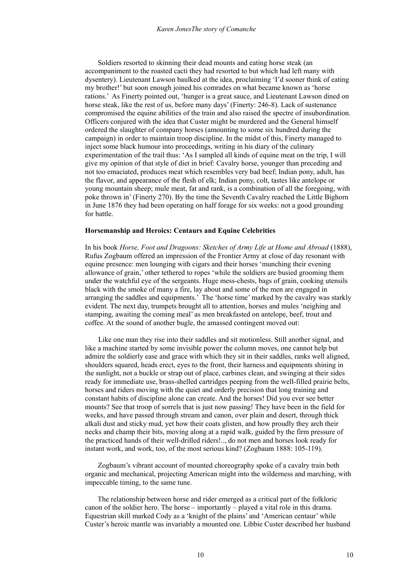Soldiers resorted to skinning their dead mounts and eating horse steak (an accompaniment to the roasted cacti they had resorted to but which had left many with dysentery). Lieutenant Lawson baulked at the idea, proclaiming 'I'd sooner think of eating my brother!' but soon enough joined his comrades on what became known as 'horse rations.' As Finerty pointed out, 'hunger is a great sauce, and Lieutenant Lawson dined on horse steak, like the rest of us, before many days' (Finerty: 246-8). Lack of sustenance compromised the equine abilities of the train and also raised the spectre of insubordination. Officers conjured with the idea that Custer might be murdered and the General himself ordered the slaughter of company horses (amounting to some six hundred during the campaign) in order to maintain troop discipline. In the midst of this, Finerty managed to inject some black humour into proceedings, writing in his diary of the culinary experimentation of the trail thus: 'As I sampled all kinds of equine meat on the trip, I will give my opinion of that style of diet in brief: Cavalry horse, younger than preceding and not too emaciated, produces meat which resembles very bad beef; Indian pony, adult, has the flavor, and appearance of the flesh of elk; Indian pony, colt, tastes like antelope or young mountain sheep; mule meat, fat and rank, is a combination of all the foregoing, with poke thrown in' (Finerty 270). By the time the Seventh Cavalry reached the Little Bighorn in June 1876 they had been operating on half forage for six weeks: not a good grounding for battle.

### **Horsemanship and Heroics: Centaurs and Equine Celebrities**

In his book *Horse, Foot and Dragoons: Sketches of Army Life at Home and Abroad* (1888), Rufus Zogbaum offered an impression of the Frontier Army at close of day resonant with equine presence: men lounging with cigars and their horses 'munching their evening allowance of grain,' other tethered to ropes 'while the soldiers are busied grooming them under the watchful eye of the sergeants. Huge mess-chests, bags of grain, cooking utensils black with the smoke of many a fire, lay about and some of the men are engaged in arranging the saddles and equipments.' The 'horse time' marked by the cavalry was starkly evident. The next day, trumpets brought all to attention, horses and mules 'neighing and stamping, awaiting the coming meal' as men breakfasted on antelope, beef, trout and coffee. At the sound of another bugle, the amassed contingent moved out:

 Like one man they rise into their saddles and sit motionless. Still another signal, and like a machine started by some invisible power the column moves, one cannot help but admire the soldierly ease and grace with which they sit in their saddles, ranks well aligned, shoulders squared, heads erect, eyes to the front, their harness and equipments shining in the sunlight, not a buckle or strap out of place, carbines clean, and swinging at their sides ready for immediate use, brass-shelled cartridges peeping from the well-filled prairie belts, horses and riders moving with the quiet and orderly precision that long training and constant habits of discipline alone can create. And the horses! Did you ever see better mounts? See that troop of sorrels that is just now passing! They have been in the field for weeks, and have passed through stream and canon, over plain and desert, through thick alkali dust and sticky mud, yet how their coats glisten, and how proudly they arch their necks and champ their bits, moving along at a rapid walk, guided by the firm pressure of the practiced hands of their well-drilled riders!.., do not men and horses look ready for instant work, and work, too, of the most serious kind? (Zogbaum 1888: 105-119).

 Zogbaum's vibrant account of mounted choreography spoke of a cavalry train both organic and mechanical, projecting American might into the wilderness and marching, with impeccable timing, to the same tune.

 The relationship between horse and rider emerged as a critical part of the folkloric canon of the soldier hero. The horse – importantly – played a vital role in this drama. Equestrian skill marked Cody as a 'knight of the plains' and 'American centaur' while Custer's heroic mantle was invariably a mounted one. Libbie Custer described her husband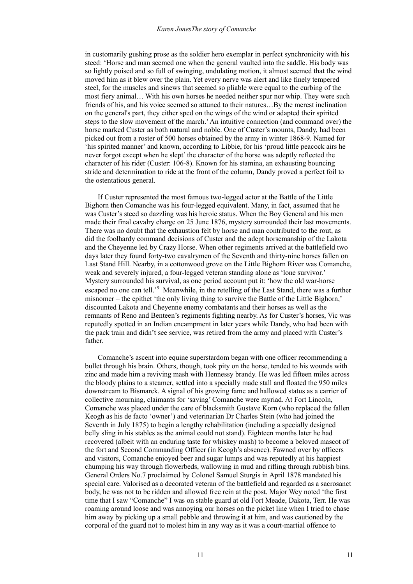#### *Karen JonesThe story of Comanche*

in customarily gushing prose as the soldier hero exemplar in perfect synchronicity with his steed: 'Horse and man seemed one when the general vaulted into the saddle. His body was so lightly poised and so full of swinging, undulating motion, it almost seemed that the wind moved him as it blew over the plain. Yet every nerve was alert and like finely tempered steel, for the muscles and sinews that seemed so pliable were equal to the curbing of the most fiery animal… With his own horses he needed neither spur nor whip. They were such friends of his, and his voice seemed so attuned to their natures...By the merest inclination on the general's part, they either sped on the wings of the wind or adapted their spirited steps to the slow movement of the march.' An intuitive connection (and command over) the horse marked Custer as both natural and noble. One of Custer's mounts, Dandy, had been picked out from a roster of 500 horses obtained by the army in winter 1868-9. Named for 'his spirited manner' and known, according to Libbie, for his 'proud little peacock airs he never forgot except when he slept' the character of the horse was adeptly reflected the character of his rider (Custer: 106-8). Known for his stamina, an exhausting bouncing stride and determination to ride at the front of the column, Dandy proved a perfect foil to the ostentatious general.

 If Custer represented the most famous two-legged actor at the Battle of the Little Bighorn then Comanche was his four-legged equivalent. Many, in fact, assumed that he was Custer's steed so dazzling was his heroic status. When the Boy General and his men made their final cavalry charge on 25 June 1876, mystery surrounded their last movements. There was no doubt that the exhaustion felt by horse and man contributed to the rout, as did the foolhardy command decisions of Custer and the adept horsemanship of the Lakota and the Cheyenne led by Crazy Horse. When other regiments arrived at the battlefield two days later they found forty-two cavalrymen of the Seventh and thirty-nine horses fallen on Last Stand Hill. Nearby, in a cottonwood grove on the Little Bighorn River was Comanche, weak and severely injured, a four-legged veteran standing alone as 'lone survivor.' Mystery surrounded his survival, as one period account put it: 'how the old war-horse escaped no one can tell.<sup>,9</sup> Meanwhile, in the retelling of the Last Stand, there was a further misnomer – the epithet 'the only living thing to survive the Battle of the Little Bighorn,' discounted Lakota and Cheyenne enemy combatants and their horses as well as the remnants of Reno and Benteen's regiments fighting nearby. As for Custer's horses, Vic was reputedly spotted in an Indian encampment in later years while Dandy, who had been with the pack train and didn't see service, was retired from the army and placed with Custer's father.

 Comanche's ascent into equine superstardom began with one officer recommending a bullet through his brain. Others, though, took pity on the horse, tended to his wounds with zinc and made him a reviving mash with Hennessy brandy. He was led fifteen miles across the bloody plains to a steamer, settled into a specially made stall and floated the 950 miles downstream to Bismarck. A signal of his growing fame and hallowed status as a carrier of collective mourning, claimants for 'saving' Comanche were myriad. At Fort Lincoln, Comanche was placed under the care of blacksmith Gustave Korn (who replaced the fallen Keogh as his de facto 'owner') and veterinarian Dr Charles Stein (who had joined the Seventh in July 1875) to begin a lengthy rehabilitation (including a specially designed belly sling in his stables as the animal could not stand). Eighteen months later he had recovered (albeit with an enduring taste for whiskey mash) to become a beloved mascot of the fort and Second Commanding Officer (in Keogh's absence). Fawned over by officers and visitors, Comanche enjoyed beer and sugar lumps and was reputedly at his happiest chumping his way through flowerbeds, wallowing in mud and rifling through rubbish bins. General Orders No.7 proclaimed by Colonel Samuel Sturgis in April 1878 mandated his special care. Valorised as a decorated veteran of the battlefield and regarded as a sacrosanct body, he was not to be ridden and allowed free rein at the post. Major Wey noted 'the first time that I saw "Comanche" I was on stable guard at old Fort Meade, Dakota, Terr. He was roaming around loose and was annoying our horses on the picket line when I tried to chase him away by picking up a small pebble and throwing it at him, and was cautioned by the corporal of the guard not to molest him in any way as it was a court-martial offence to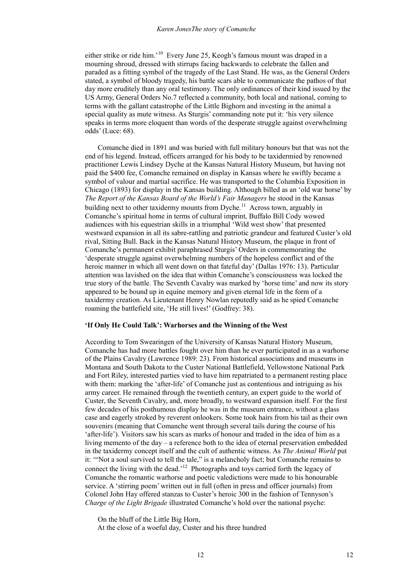either strike or ride him.'<sup>10</sup> Every June 25, Keogh's famous mount was draped in a mourning shroud, dressed with stirrups facing backwards to celebrate the fallen and paraded as a fitting symbol of the tragedy of the Last Stand. He was, as the General Orders stated, a symbol of bloody tragedy, his battle scars able to communicate the pathos of that day more eruditely than any oral testimony. The only ordinances of their kind issued by the US Army, General Orders No.7 reflected a community, both local and national, coming to terms with the gallant catastrophe of the Little Bighorn and investing in the animal a special quality as mute witness. As Sturgis' commanding note put it: 'his very silence speaks in terms more eloquent than words of the desperate struggle against overwhelming odds' (Luce: 68).

 Comanche died in 1891 and was buried with full military honours but that was not the end of his legend. Instead, officers arranged for his body to be taxidermied by renowned practitioner Lewis Lindsey Dyche at the Kansas Natural History Museum, but having not paid the \$400 fee, Comanche remained on display in Kansas where he swiftly became a symbol of valour and martial sacrifice. He was transported to the Columbia Exposition in Chicago (1893) for display in the Kansas building. Although billed as an 'old war horse' by *The Report of the Kansas Board of the World's Fair Managers* he stood in the Kansas building next to other taxidermy mounts from Dyche.<sup>11</sup> Across town, arguably in Comanche's spiritual home in terms of cultural imprint, Buffalo Bill Cody wowed audiences with his equestrian skills in a triumphal 'Wild west show' that presented westward expansion in all its sabre-rattling and patriotic grandeur and featured Custer's old rival, Sitting Bull. Back in the Kansas Natural History Museum, the plaque in front of Comanche's permanent exhibit paraphrased Sturgis' Orders in commemorating the 'desperate struggle against overwhelming numbers of the hopeless conflict and of the heroic manner in which all went down on that fateful day' (Dallas 1976: 13). Particular attention was lavished on the idea that within Comanche's consciousness was locked the true story of the battle. The Seventh Cavalry was marked by 'horse time' and now its story appeared to be bound up in equine memory and given eternal life in the form of a taxidermy creation. As Lieutenant Henry Nowlan reputedly said as he spied Comanche roaming the battlefield site, 'He still lives!' (Godfrey: 38).

## **'If Only He Could Talk': Warhorses and the Winning of the West**

According to Tom Swearingen of the University of Kansas Natural History Museum, Comanche has had more battles fought over him than he ever participated in as a warhorse of the Plains Cavalry (Lawrence 1989: 23). From historical associations and museums in Montana and South Dakota to the Custer National Battlefield, Yellowstone National Park and Fort Riley, interested parties vied to have him repatriated to a permanent resting place with them: marking the 'after-life' of Comanche just as contentious and intriguing as his army career. He remained through the twentieth century, an expert guide to the world of Custer, the Seventh Cavalry, and, more broadly, to westward expansion itself. For the first few decades of his posthumous display he was in the museum entrance, without a glass case and eagerly stroked by reverent onlookers. Some took hairs from his tail as their own souvenirs (meaning that Comanche went through several tails during the course of his 'after-life'). Visitors saw his scars as marks of honour and traded in the idea of him as a living memento of the day – a reference both to the idea of eternal preservation embedded in the taxidermy concept itself and the cult of authentic witness. As *The Animal World* put it: '"Not a soul survived to tell the tale," is a melancholy fact; but Comanche remains to connect the living with the dead.<sup>12</sup> Photographs and toys carried forth the legacy of Comanche the romantic warhorse and poetic valedictions were made to his honourable service. A 'stirring poem' written out in full (often in press and officer journals) from Colonel John Hay offered stanzas to Custer's heroic 300 in the fashion of Tennyson's *Charge of the Light Brigade* illustrated Comanche's hold over the national psyche:

On the bluff of the Little Big Horn,

At the close of a woeful day, Custer and his three hundred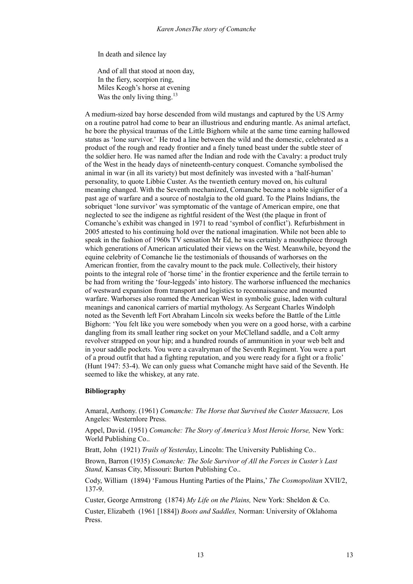In death and silence lay

 And of all that stood at noon day, In the fiery, scorpion ring, Miles Keogh's horse at evening Was the only living thing.<sup>13</sup>

A medium-sized bay horse descended from wild mustangs and captured by the US Army on a routine patrol had come to bear an illustrious and enduring mantle. As animal artefact, he bore the physical traumas of the Little Bighorn while at the same time earning hallowed status as 'lone survivor.' He trod a line between the wild and the domestic, celebrated as a product of the rough and ready frontier and a finely tuned beast under the subtle steer of the soldier hero. He was named after the Indian and rode with the Cavalry: a product truly of the West in the heady days of nineteenth-century conquest. Comanche symbolised the animal in war (in all its variety) but most definitely was invested with a 'half-human' personality, to quote Libbie Custer. As the twentieth century moved on, his cultural meaning changed. With the Seventh mechanized, Comanche became a noble signifier of a past age of warfare and a source of nostalgia to the old guard. To the Plains Indians, the sobriquet 'lone survivor' was symptomatic of the vantage of American empire, one that neglected to see the indigene as rightful resident of the West (the plaque in front of Comanche's exhibit was changed in 1971 to read 'symbol of conflict'). Refurbishment in 2005 attested to his continuing hold over the national imagination. While not been able to speak in the fashion of 1960s TV sensation Mr Ed, he was certainly a mouthpiece through which generations of American articulated their views on the West. Meanwhile, beyond the equine celebrity of Comanche lie the testimonials of thousands of warhorses on the American frontier, from the cavalry mount to the pack mule. Collectively, their history points to the integral role of 'horse time' in the frontier experience and the fertile terrain to be had from writing the 'four-leggeds' into history. The warhorse influenced the mechanics of westward expansion from transport and logistics to reconnaissance and mounted warfare. Warhorses also roamed the American West in symbolic guise, laden with cultural meanings and canonical carriers of martial mythology. As Sergeant Charles Windolph noted as the Seventh left Fort Abraham Lincoln six weeks before the Battle of the Little Bighorn: 'You felt like you were somebody when you were on a good horse, with a carbine dangling from its small leather ring socket on your McClelland saddle, and a Colt army revolver strapped on your hip; and a hundred rounds of ammunition in your web belt and in your saddle pockets. You were a cavalryman of the Seventh Regiment. You were a part of a proud outfit that had a fighting reputation, and you were ready for a fight or a frolic' (Hunt 1947: 53-4). We can only guess what Comanche might have said of the Seventh. He seemed to like the whiskey, at any rate.

# **Bibliography**

Amaral, Anthony. (1961) *Comanche: The Horse that Survived the Custer Massacre,* Los Angeles: Westernlore Press.

Appel, David. (1951) *Comanche: The Story of America's Most Heroic Horse,* New York: World Publishing Co..

Bratt, John (1921) *Trails of Yesterday*, Lincoln: The University Publishing Co..

Brown, Barron (1935) *Comanche: The Sole Survivor of All the Forces in Custer's Last Stand,* Kansas City, Missouri: Burton Publishing Co..

Cody, William (1894) 'Famous Hunting Parties of the Plains,' *The Cosmopolitan* XVII/2, 137-9.

Custer, George Armstrong (1874) *My Life on the Plains,* New York: Sheldon & Co.

Custer, Elizabeth (1961 [1884]) *Boots and Saddles,* Norman: University of Oklahoma Press.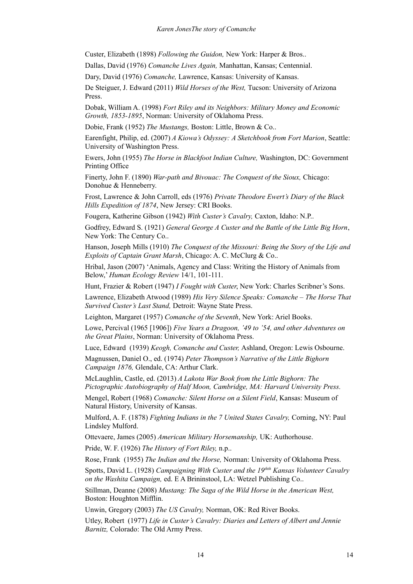Custer, Elizabeth (1898) *Following the Guidon,* New York: Harper & Bros..

Dallas, David (1976) *Comanche Lives Again,* Manhattan, Kansas; Centennial.

Dary, David (1976) *Comanche,* Lawrence, Kansas: University of Kansas.

De Steiguer, J. Edward (2011) *Wild Horses of the West,* Tucson: University of Arizona Press.

Dobak, William A. (1998) *Fort Riley and its Neighbors: Military Money and Economic Growth, 1853-1895*, Norman: University of Oklahoma Press.

Dobie, Frank (1952) *The Mustangs,* Boston: Little, Brown & Co..

Earenfight, Philip, ed. (2007) *A Kiowa's Odyssey: A Sketchbook from Fort Marion*, Seattle: University of Washington Press.

Ewers, John (1955) *The Horse in Blackfoot Indian Culture,* Washington, DC: Government Printing Office

Finerty, John F. (1890) *War-path and Bivouac: The Conquest of the Sioux,* Chicago: Donohue & Henneberry.

Frost, Lawrence & John Carroll, eds (1976) *Private Theodore Ewert's Diary of the Black Hills Expedition of 1874*, New Jersey: CRI Books.

Fougera, Katherine Gibson (1942) *With Custer's Cavalry,* Caxton, Idaho: N.P..

Godfrey, Edward S. (1921) *General George A Custer and the Battle of the Little Big Horn*, New York: The Century Co..

Hanson, Joseph Mills (1910) *The Conquest of the Missouri: Being the Story of the Life and Exploits of Captain Grant Marsh*, Chicago: A. C. McClurg & Co..

Hribal, Jason (2007) 'Animals, Agency and Class: Writing the History of Animals from Below,' *Human Ecology Review* 14/1, 101-111.

Hunt, Frazier & Robert (1947) *I Fought with Custer*, New York: Charles Scribner's Sons.

Lawrence, Elizabeth Atwood (1989) *His Very Silence Speaks: Comanche – The Horse That Survived Custer's Last Stand,* Detroit: Wayne State Press.

Leighton, Margaret (1957) *Comanche of the Seventh*, New York: Ariel Books.

Lowe, Percival (1965 [1906]) *Five Years a Dragoon, '49 to '54, and other Adventures on the Great Plains*, Norman: University of Oklahoma Press.

Luce, Edward (1939) *Keogh, Comanche and Custer,* Ashland, Oregon: Lewis Osbourne.

Magnussen, Daniel O., ed. (1974) *Peter Thompson's Narrative of the Little Bighorn Campaign 1876,* Glendale, CA: Arthur Clark.

McLaughlin, Castle, ed. (2013) *A Lakota War Book from the Little Bighorn: The Pictographic Autobiography of Half Moon, Cambridge, MA: Harvard University Press.*

Mengel, Robert (1968) *Comanche: Silent Horse on a Silent Field*, Kansas: Museum of Natural History, University of Kansas.

Mulford, A. F. (1878) *Fighting Indians in the 7 United States Cavalry,* Corning, NY: Paul Lindsley Mulford.

Ottevaere, James (2005) *American Military Horsemanship,* UK: Authorhouse.

Pride, W. F. (1926) *The History of Fort Riley,* n.p..

Rose, Frank (1955) *The Indian and the Horse,* Norman: University of Oklahoma Press.

Spotts, David L. (1928) *Campaigning With Custer and the 19thth Kansas Volunteer Cavalry on the Washita Campaign,* ed. E A Brininstool, LA: Wetzel Publishing Co..

Stillman, Deanne (2008) *Mustang: The Saga of the Wild Horse in the American West,*  Boston: Houghton Mifflin.

Unwin, Gregory (2003) *The US Cavalry,* Norman, OK: Red River Books.

Utley, Robert (1977) *Life in Custer's Cavalry: Diaries and Letters of Albert and Jennie Barnitz,* Colorado: The Old Army Press.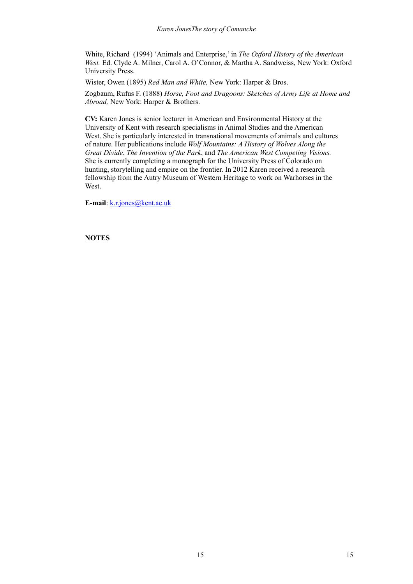White, Richard (1994) 'Animals and Enterprise,' in *The Oxford History of the American West.* Ed. Clyde A. Milner, Carol A. O'Connor, & Martha A. Sandweiss, New York: Oxford University Press.

Wister, Owen (1895) *Red Man and White,* New York: Harper & Bros.

Zogbaum, Rufus F. (1888) *Horse, Foot and Dragoons: Sketches of Army Life at Home and Abroad,* New York: Harper & Brothers.

**CV:** Karen Jones is senior lecturer in American and Environmental History at the University of Kent with research specialisms in Animal Studies and the American West. She is particularly interested in transnational movements of animals and cultures of nature. Her publications include *Wolf Mountains: A History of Wolves Along the Great Divide*, *The Invention of the Park*, and *The American West Competing Visions.*  She is currently completing a monograph for the University Press of Colorado on hunting, storytelling and empire on the frontier. In 2012 Karen received a research fellowship from the Autry Museum of Western Heritage to work on Warhorses in the West.

**E-mail**: [k.r.jones@kent.ac.uk](mailto:k.r.jones@kent.ac.uk)

**NOTES**